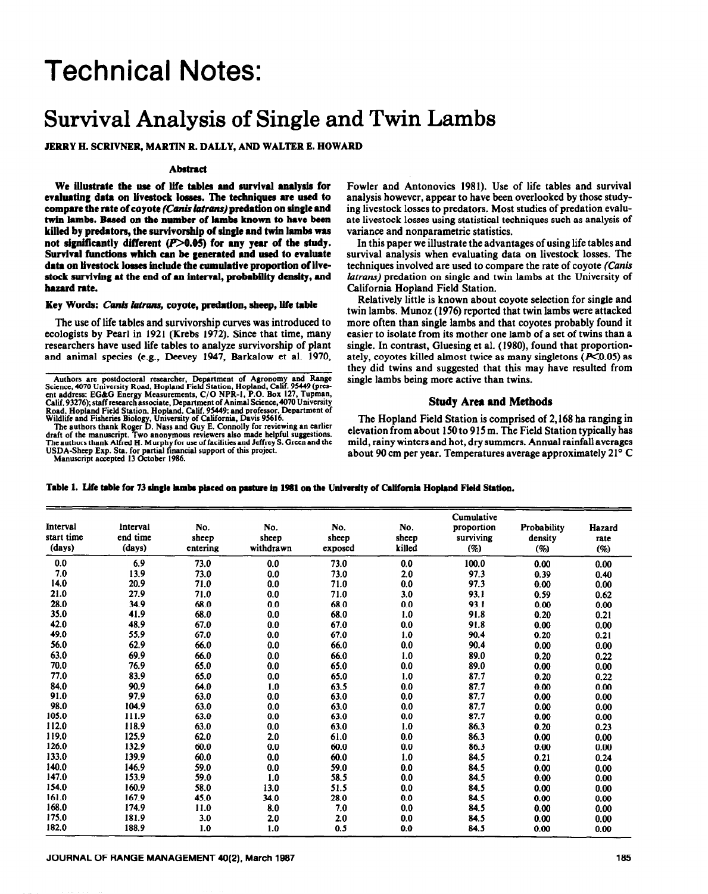# Technical Notes:

# **Survival Analysis of Single and Twin Lambs**

# **JERRY H. SCRIVNER, MARTIN R. DALLY, AND WALTER E. HOWARD**

## **Abstract**

We ilhtrate the use **of life tables and survival analysis for**  evaluating data on livestock losses. The techniques are used to compare the rate of coyote (Canis latrans) predation on single and **twln lambs. Based on tbe number of lambs known to** have **been killed by predators, the survivorship of single and twin lambs was**  not significantly different (P>0.05) for any year of the study. **Survival functions which can be generated and used to evaluate data on livestock losses include the cumulative proportion of livestock surviving at tbe end of an interval, probability density, and bazard** rate.

#### Key Words: *Canis latrans*, coyote, predation, sheep, life table

**The use** of life tables and survivorship curves was introduced to ecologists by Pearl in 1921 (Krebs 1972). Since that time, many researchers have used life tables to analyze survivorship of plant and animal species (e.g., Deevey 1947, Rarkalow et al. 1970,

Road, Hopland Field Station, Hopland, Calif. 93449; and professor, Department of<br>Wildlife and Fisheries Biology, University of California, Davis 95616.<br>The authors thank Roger D. Nass and Guy E. Connolly for reviewing an e

**Manuscript accepted I3 October 1986.** 

Fowler and Antonovics 1981). Use of life tables and survival analysis however, appear to have been overlooked by those studying livestock losses to predators. Most studies of predation evaluate livestock losses using statistical techniques such as analysis of variance and nonparametric statistics.

In this paper we illustrate the advantages of using life tables and survival analysis when evaluating data on livestock losses. The techniques involved are used to compare the rate of coyote (Canis latrans) predation on single and twin lambs at the University of California Hopland Field Station.

Relatively little is known about coyote selection for single and twin lambs. Munoz (1976) reported that twin lambs were attacked more often than single lambs and that coyotes probably found it easier to isolate from its mother one lamb of a set of twins than a single. In contrast, Gluesing et al. (1980), found that proportionately, coyotes killed almost twice as many singletons  $(X<sub>0.05</sub>)$  as they did twins and suggested that this may have resulted from single lambs being more active than twins.

## **Study Area and Methods**

**The** Hopland Field Station is comprised of 2,168 ha ranging in elevation from about 150 to 915 m. The Field Station typically has mild, rainy winters and hot, dry summers. Annual rainfall averages about 90 cm per year. Temperatures average approximately 21' C

| Table 1. Life table for 73 single lambs placed on pasture in 1981 on the University of California Hopland Field Station. |  |  |  |  |  |  |  |
|--------------------------------------------------------------------------------------------------------------------------|--|--|--|--|--|--|--|
|--------------------------------------------------------------------------------------------------------------------------|--|--|--|--|--|--|--|

| Interval<br>start time<br>(days) | Interval<br>end time<br>(days) | No.<br>sheep<br>entering | No.<br>sheep<br>withdrawn | No.<br>sheep<br>exposed | No.<br>sheep<br>killed | Cumulative<br>proportion<br>surviving<br>(%) | Probability<br>density<br>(%) | Hazard<br>rate<br>(%) |
|----------------------------------|--------------------------------|--------------------------|---------------------------|-------------------------|------------------------|----------------------------------------------|-------------------------------|-----------------------|
| 0.0                              | 6.9                            | 73.0                     | 0.0                       | 73.0                    | 0.0                    | 100.0                                        | 0.00                          | 0.00                  |
| 7.0                              | 13.9                           | 73.0                     | 0.0                       | 73.0                    | 2.0                    | 97.3                                         | 0.39                          | 0.40                  |
| 14.0                             | 20.9                           | 71.0                     | 0.0                       | 71.0                    | 0.0                    | 97.3                                         | 0.00                          | 0.00                  |
| 21.0                             | 27.9                           | 71.0                     | 0.0                       | 71.0                    | 3.0                    | 93.1                                         | 0.59                          | 0.62                  |
| 28.0                             | 34.9                           | 68.0                     | 0.0                       | 68.0                    | 0.0                    | 93.1                                         | 0.00                          | 0.00                  |
| 35.0                             | 41.9                           | 68.0                     | 0.0                       | 68.0                    | 1.0                    | 91.8                                         | 0.20                          | 0.21                  |
| 42.0                             | 48.9                           | 67.0                     | 0.0                       | 67.0                    | 0.0                    | 91.8                                         | 0.00                          | 0.00                  |
| 49.0                             | 55.9                           | 67.0                     | 0.0                       | 67.0                    | 1.0                    | 90.4                                         | 0.20                          | 0.21                  |
| 56.0                             | 62.9                           | 66.0                     | 0.0                       | 66.0                    | 0.0                    | 90.4                                         | 0.00                          | 0.00                  |
| 63.0                             | 69.9                           | 66.0                     | 0.0                       | 66.0                    | 1.0                    | 89.0                                         | 0.20                          | 0.22                  |
| 70.0                             | 76.9                           | 65.0                     | 0.0                       | 65.0                    | 0.0                    | 89.0                                         | 0.00                          | 0.00                  |
| 77.0                             | 83.9                           | 65.0                     | 0.0                       | 65.0                    | 1.0                    | 87.7                                         | 0.20                          | 0.22                  |
| 84.0                             | 90.9                           | 64.0                     | 1.0                       | 63.5                    | 0.0                    | 87.7                                         | 0.00                          | 0.00                  |
| 91.0                             | 97.9                           | 63.0                     | 0.0                       | 63.0                    | 0.0                    | 87.7                                         | 0.00                          | 0.00                  |
| 98.0                             | 104.9                          | 63.0                     | 0.0                       | 63.0                    | 0.0                    | 87.7                                         | 0.00                          | 0.00                  |
| 105.0                            | 111.9                          | 63.0                     | 0.0                       | 63.0                    | 0.0                    | 87.7                                         | 0.00                          | 0.00                  |
| 112.0                            | 118.9                          | 63.0                     | 0.0                       | 63.0                    | 1.0                    | 86.3                                         | 0.20                          | 0.23                  |
| 119.0                            | 125.9                          | 62.0                     | 2.0                       | 61.0                    | 0.0                    | 86.3                                         | 0.00                          | 0.00                  |
| 126.0                            | 132.9                          | 60.0                     | 0.0                       | 60.0                    | 0.0                    | 86.3                                         | 0.00                          | 0.00                  |
| 133.0                            | 139.9                          | 60.0                     | 0.0                       | 60.0                    | 1.0                    | 84.5                                         | 0.21                          | 0.24                  |
| 140.0                            | 146.9                          | 59.0                     | 0.0                       | 59.0                    | 0.0                    | 84.5                                         | 0.00                          | 0.00                  |
| 147.0                            | 153.9                          | 59.0                     | 1.0                       | 58.5                    | 0.0                    | 84.5                                         | 0.00                          | 0.00                  |
| 154.0                            | 160.9                          | 58.0                     | 13.0                      | 51.5                    | 0.0                    | 84.5                                         | 0.00                          | 0.00                  |
| 161.0                            | 167.9                          | 45.0                     | 34.0                      | 28.0                    | 0.0                    | 84.5                                         | 0.00                          | 0.00                  |
| 168.0                            | 174.9                          | 11.0                     | 8.0                       | 7.0                     | 0.0                    | 84.5                                         | 0.00                          | 0.00                  |
| 175.0                            | 181.9                          | 3.0                      | 2.0                       | 2.0                     | 0.0                    | 84.5                                         | 0.00                          | 0.00                  |
| 182.0                            | 188.9                          | 1.0                      | 1.0                       | 0.5                     | 0.0                    | 84.5                                         | 0.00                          | 0.00                  |

Authors are postdoctoral researcher, Department of Agronomy and Range<br>Science, 4070 University Road, Hopland Field Station, Hopland, Calif. 95449 (prescnt **address: EG&G Energy Measurements, C/O NPR-I, P.O. Box 127, Tupman, Calif. 93276);** staff research associate, **Department of Animal Science,4070** University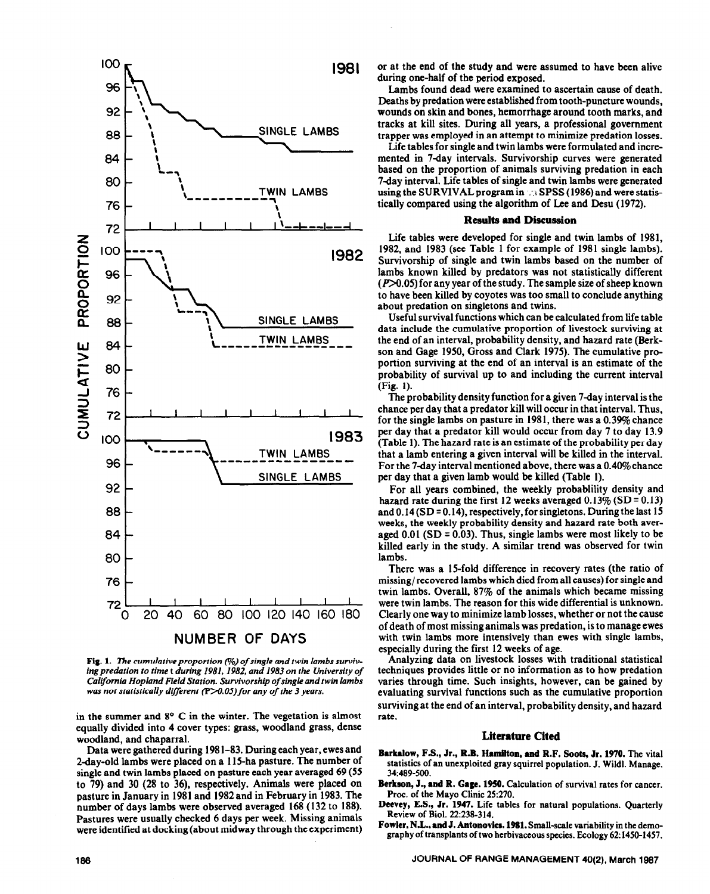

**Fig. 1.** The cumulative proportion (%) of single and twin lambs surviv*ingpredation to time* t *during 1981. 1982, and 1983 on the University of California Hopland Field Station. Survivorship of* single and **twin** *lambs was not statistically different (P>0.05) for any of the 3 years.* 

in the summer and  $8^{\circ}$  C in the winter. The vegetation is almost equally divided into 4 cover types: grass, woodland grass, dense woodland, and chaparral.

Data were gathered during 198 l-83. During each year, ewes and 2-day-old lambs were placed on a 115-ha pasture. The number of single and twin lambs placed on pasture each year averaged 69 (55 to 79) and 30 (28 to 36), respectively. Animals were placed on pasture in January in 1981 and 1982 and in February in 1983. The number of days lambs were observed averaged 168 (132 to 188). Pastures were usually checked 6 days per week. Missing animals were identified at docking (about midway through the experiment) or at the end of the study and were assumed to have been alive during one-half of the period exposed.

Lambs found dead were examined to ascertain cause of death. Deaths by predation were established from tooth-puncture wounds, wounds on skin and bones, hemorrhage around tooth marks, and tracks at kill sites. During all years, a professional government trapper was employed in an attempt to minimize predation losses.

Life tables for single and twin lambs were formulated and incremented in 7-day intervals. Survivorship curves were generated based on the proportion of animals surviving predation in each 7day interval. Life tables of single and twin lambs were generated using the SURVIVAL program in  $\approx$  SPSS (1986) and were statistically compared using the algorithm of Lee and Desu (1972).

#### **Results and Discussion**

Life tables were developed for single and twin lambs of 1981, 1982, and 1983 (see Table 1 for example of 1981 single lambs). Survivorship of single and twin lambs based on the number of lambs known killed by predators was not statistically different  $(P>0.05)$  for any year of the study. The sample size of sheep known to have been killed by coyotes was too small to conclude anything about predation on singletons and twins.

Useful survival functions which can be calculated from life table data include the cumulative proportion of livestock surviving at the end of an interval, probability density, and hazard rate (Berkson and Gage 1950, Gross and Clark 1975). The cumulative proportion surviving at the end of an interval is an estimate of the probability of survival up to and including the current interval (Fig. 1).

The probability density function for a given 7-day interval is the chance per day that a predator kill will occur in that interval. Thus, for the single lambs on pasture in 1981, there was a 0.39% chance per day that a predator kill would occur from day 7 to day 13.9 (Table 1). The hazard rate is an estimate of the probability per day that a lamb entering a given interval will be killed in the interval. For the 7-day interval mentioned above, there was a  $0.40\%$  chance per day that a given lamb would be killed (Table 1).

For all years combined, the weekly probablility density and hazard rate during the first 12 weeks averaged  $0.13\%$  (SD = 0.13) and  $0.14$  (SD = 0.14), respectively, for singletons. During the last 15 weeks, the weekly probability density and hazard rate both averaged  $0.01$  (SD = 0.03). Thus, single lambs were most likely to be killed early in the study. A similar trend was observed for twin lambs.

There was a 15-fold difference in recovery rates (the ratio of missing/ recovered lambs which died from all causes) for single and twin lambs. Overall, 87% of the animals which became missing were twin lambs. The reason for this wide differential is unknown. Clearly one way to minimize lamb losses, whether or not the cause of death of most missing animals was predation, is to manage ewes with twin lambs more intensively than ewes with single lambs, especially during the first 12 weeks of age.

Analyzing data on livestock losses with traditional statistical techniques provides little or no information as to how predation varies through time. Such insights, however, can be gained by evaluating survival functions such as the cumulative proportion surviving at the end of an interval, probability density, and hazard rate.

# **Literature Cited**

- Barkalow, F.S., Jr., R.B. Hamilton, and R.F. Soots, Jr. 1970. The vital statistics of an unexploited gray squirrel population. **J.** Wildl. Manage. 34:489-500.
- Berkson, J., and R. Gage. **1950. Calculation of survival rates for cancer. Proc. of the Mayo Clinic 25:270.**
- Deevey, E.S., Jr. 1947. Life tables for natural populations. Quarterly **Review of Biol. 22:238-314.**
- Fowler, N.L., and J. Antonovics. 1981. Small-scale variability in the demo**graphy** of transplants of two herbivaceous species. Ecology *62: 1450-1457.*